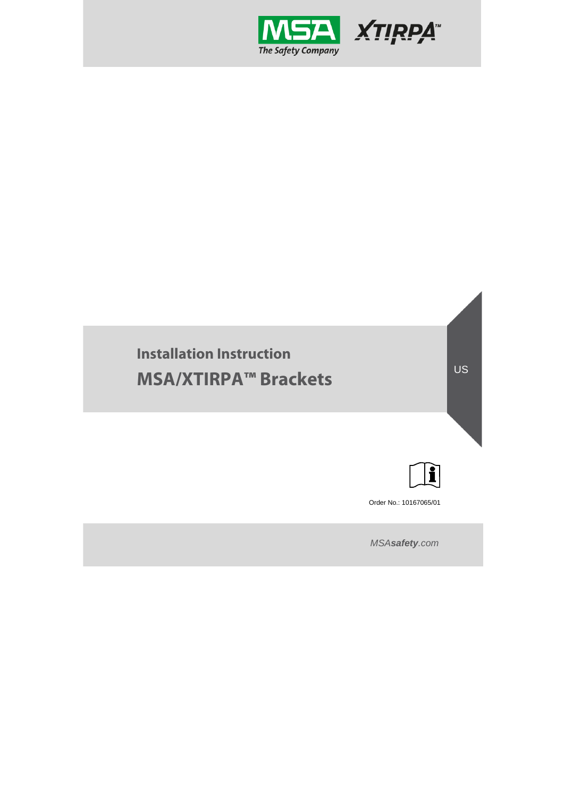

# **Installation Instruction MSA/XTIRPA™ Brackets**



US

Order No.: 10167065/01

*MSAsafety.com*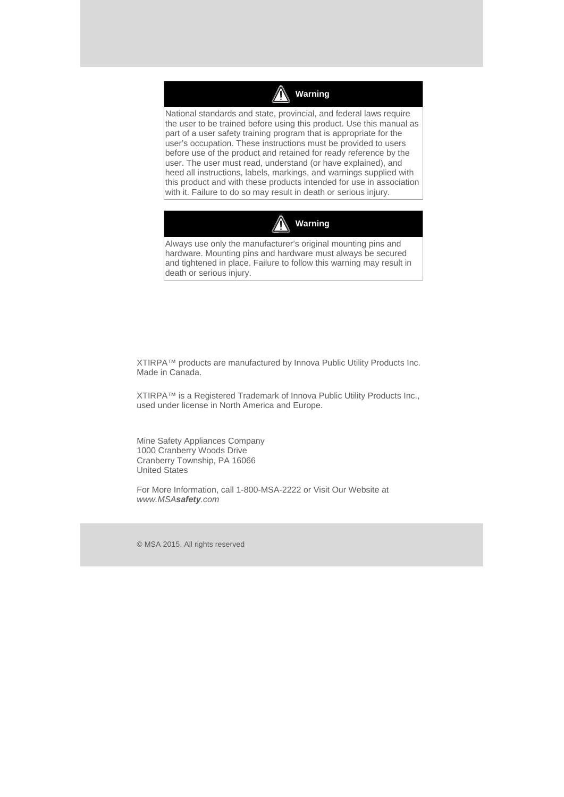

National standards and state, provincial, and federal laws require the user to be trained before using this product. Use this manual as part of a user safety training program that is appropriate for the user's occupation. These instructions must be provided to users before use of the product and retained for ready reference by the user. The user must read, understand (or have explained), and heed all instructions, labels, markings, and warnings supplied with this product and with these products intended for use in association with it. Failure to do so may result in death or serious injury.



Always use only the manufacturer's original mounting pins and hardware. Mounting pins and hardware must always be secured and tightened in place. Failure to follow this warning may result in death or serious injury.

XTIRPA™ products are manufactured by Innova Public Utility Products Inc. Made in Canada.

XTIRPA™ is a Registered Trademark of Innova Public Utility Products Inc., used under license in North America and Europe.

Mine Safety Appliances Company 1000 Cranberry Woods Drive Cranberry Township, PA 16066 United States

For More Information, call 1-800-MSA-2222 or Visit Our Website at *www.MSAsafety.com*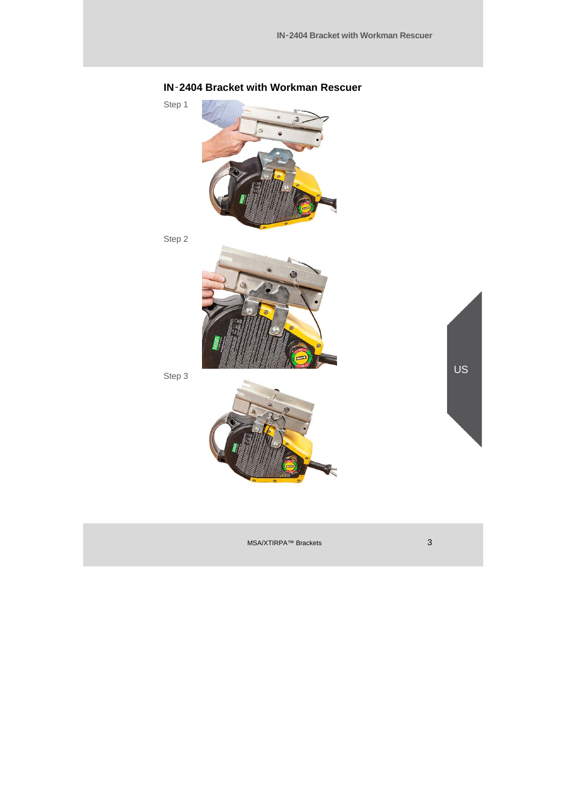

## **IN**‑**2404 Bracket with Workman Rescuer**

Step 2

Step 1



Step 3



US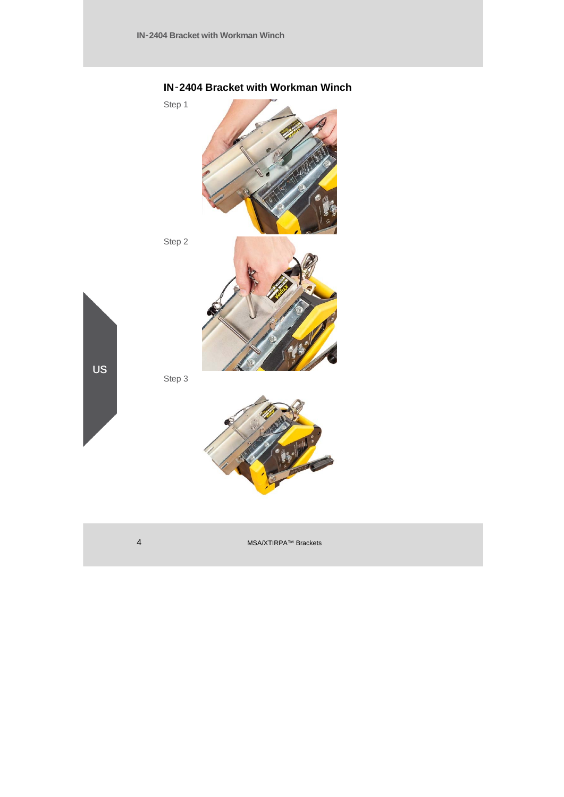

### **IN**‑**2404 Bracket with Workman Winch**

4 MSA/XTIRPA™ Brackets

US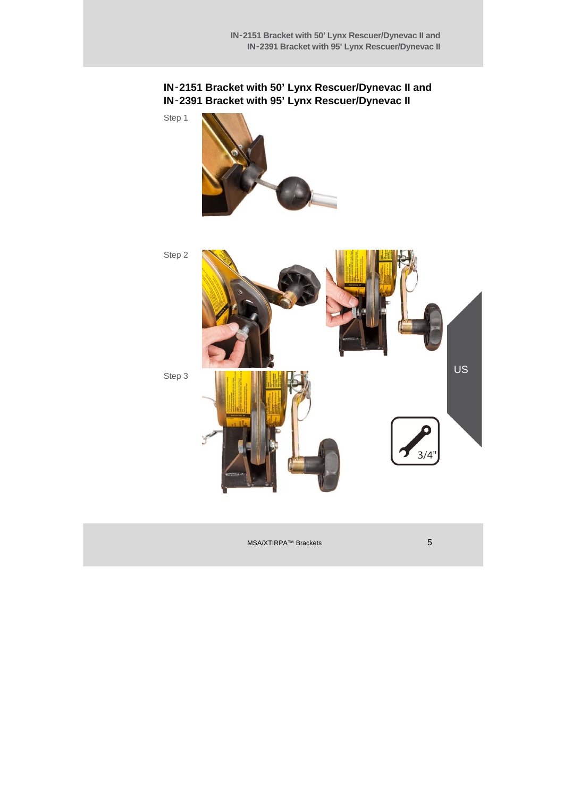#### **IN**‑**2151 Bracket with 50' Lynx Rescuer/Dynevac II and IN**‑**2391 Bracket with 95' Lynx Rescuer/Dynevac II**

Step 1



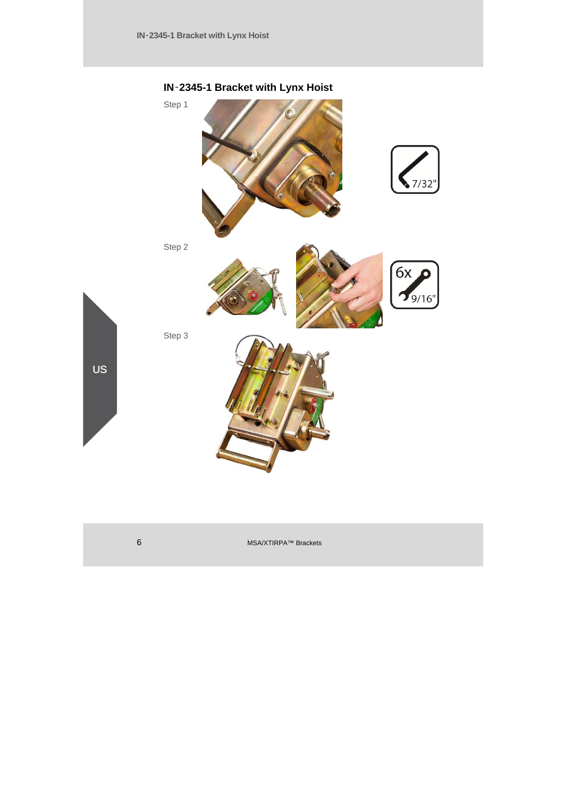

### **IN**‑**2345-1 Bracket with Lynx Hoist**

6 MSA/XTIRPA™ Brackets